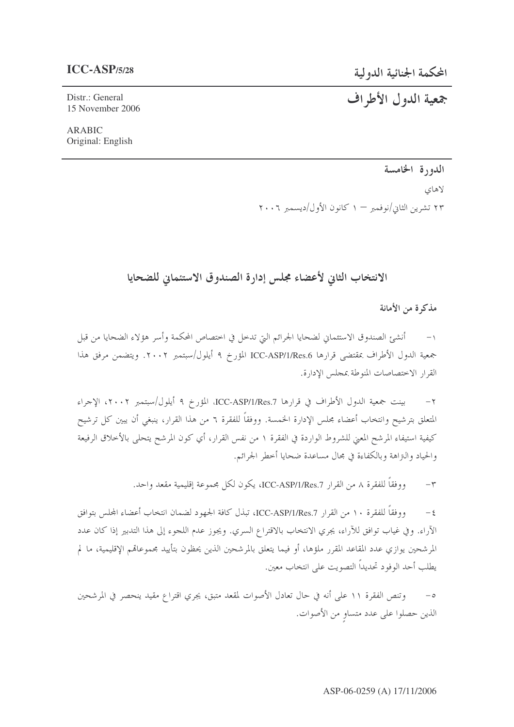# المحكمة الجنائية الدولية

## $ICC-ASP/5/28$

# جمعية الدول الأطراف

Distr.: General 15 November 2006

**ARABIC** Original: English

# الدورة الخامسة

لاهاي ۲۳ تشرین الثانی/نوفمبر — ۱ کانون الأول/دیسمبر ۲۰۰۶

# الانتخاب الثاني لأعضاء مجلس إدارة الصندوق الاستئماني للضحايا

مذكرة من الأمانة

أنشئ الصندوق الاستئماني لضحايا الجرائم التي تدخل في اختصاص المحكمة وأسر هؤلاء الضحايا من قبل جمعية الدول الأطراف بمقتضى قرارها ICC-ASP/1/Res.6 المؤرخ ٩ أيلول/سبتمبر ٢٠٠٢. ويتضمن مرفق هذا القرار الاختصاصات المنوطة بمجلس الإدارة.

بينت جمعية الدول الأطراف في قرارها ICC-ASP/1/Res.7، المؤرخ ٩ أيلول/سبتمبر ٢٠٠٢، الإجراء  $-7$ المتعلق بترشيح وانتخاب أعضاء مجلس الإدارة الخمسة. ووفقاً للفقرة ٦ من هذا القرار، ينبغي أن يبين كل ترشيح كيفية استيفاء المرشح المعنى للشروط الواردة في الفقرة ١ من نفس القرار، أي كون المرشح يتحلى بالأخلاق الرفيعة والحياد والنزاهة وبالكفاءة في مجال مساعدة ضحايا أحطر الجرائم.

> ووفقاً للفقرة ٨ من القرار ICC-ASP/1/Res.7، يكون لكل مجموعة إقليمية مقعد واحد.  $-\tau$

ووفقاً للفقرة ١٠ من القرار ICC-ASP/1/Res.7، تبذل كافة الجهود لضمان انتخاب أعضاء المجلس بتوافق  $-\xi$ الآراء. وفي غياب توافق للآراء، يجري الانتخاب بالاقتراع السري. ويجوز عدم اللجوء إلى هذا التدبير إذا كان عدد المرشحين يوازي عدد المقاعد المقرر ملؤها، أو فيما يتعلق بالمرشحين الذين يحظون بتأييد مجموعاقمم الإقليمية، ما لم يطلب أحد الوفود تحديداً التصويت على انتخاب معين.

وتنص الفقرة ١١ على أنه في حال تعادل الأصوات لمقعد متبق، يجري اقتراع مقيد ينحصر في المرشحين  $-\circ$ الذين حصلوا على عدد متساوٍ من الأصوات.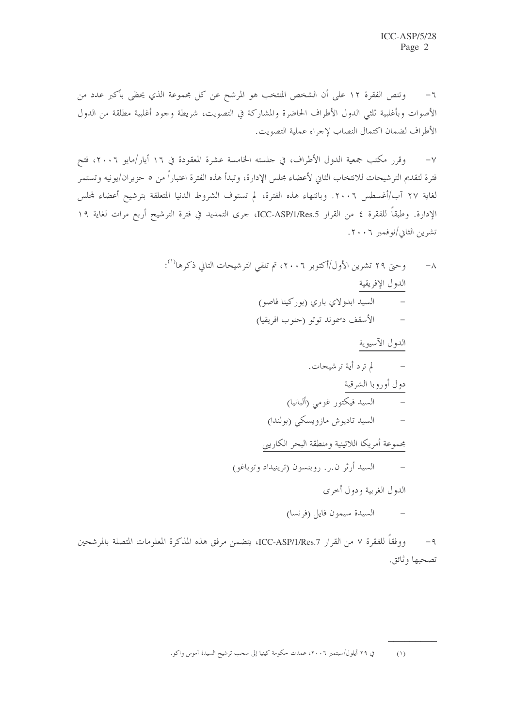وتنص الفقرة ١٢ على أن الشخص المنتخب هو المرشح عن كل مجموعة الذي يحظى بأكبر عدد من  $-\mathcal{I}$ الأصوات وبأغلبية ثلثي الدول الأطراف الحاضرة والمشاركة في التصويت، شريطة وجود أغلبية مطلقة من الدول الأطراف لضمان اكتمال النصاب لإجراء عملية التصويت.

وقرر مكتب جمعية الدول الأطراف، في جلسته الخامسة عشرة المعقودة في ١٦ أيار/مايو ٢٠٠٦، فتح  $-\vee$ فترة لتقديم الترشيحات للانتخاب الثاني لأعضاء مجلس الإدارة، وتبدأ هذه الفترة اعتباراً من ٥ حزيران/يونيه وتستمر لغاية ٢٧ آب/أغسطس ٢٠٠٦. وبانتهاء هذه الفترة، لم تستوف الشروط الدنيا المتعلقة بترشيح أعضاء لمجلس الإدارة. وطبقاً للفقرة ٤ من القرار ICC-ASP/1/Res.5، جرى التمديد في فترة الترشيح أربع مرات لغاية ١٩ تشرين الثابي/نوفمبر ٢٠٠٦.

> وحتى ٢٩ تشرين الأول/أكتوبر ٢٠٠٦، تم تلقى الترشيحات التالي ذكرها''):  $-\lambda$ الدول الإفريقية السید ابدولای باری (بورکینا فاصو) الأسقف دسموند توتو (جنوب افريقيا) الدول الآسيوية – لم ترد أية ترشيحات. دول أوروبا الشرقية السيد فيكتور غومي (ألبانيا) السيد تاديوش مازويسكي (بولندا) مجموعة أمريكا اللاتينية ومنطقة البحر الكاريبي السيد أرثر ن.ر. روبنسون (ترينيداد وتوباغو) الدول الغربية ودول أخرى السيدة سيمون فايل (فرنسا)

ووفقاً للفقرة ٧ من القرار ICC-ASP/1/Res.7، يتضمن مرفق هذه المذكرة المعلومات المتصلة بالمرشحين  $-9$ تصحبها وثائق.

في ٢٩ أيلول/سبتمبر ٢٠٠٦، عمدت حكومة كينيا إلى سحب ترشيح السيدة آموس واكو.  $(1)$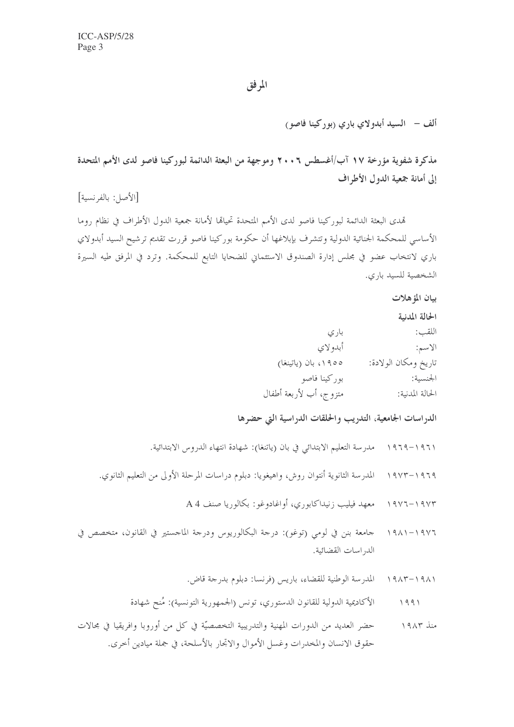## المرفق

ألف – السيد أبدولاي باري (بوركينا فاصو)

مذكرة شفوية مؤرخة ١٧ آب/أغسطس ٢ • ٢٠ وموجهة من البعثة الدائمة لبوركينا فاصو لدى الأمم المتحدة إلى أمانة جمعية الدول الأطراف

[الأصل: بالفرنسية]

تمدى البعثة الدائمة لبوركينا فاصو لدى الأمم المتحدة تحيالها لأمانة جمعية الدول الأطراف في نظام روما الأساسي للمحكمة الجنائية الدولية وتتشرف بإبلاغها أن حكومة بوركينا فاصو قررت تقديم ترشيح السيد أبدولاي باري لانتخاب عضوٍ في مجلس إدارة الصندوق الاستئماني للضحايا التابع للمحكمة. وترد في المرفق طيه السيرة الشخصية للسيد باري.

ببان المؤهلات

الحالة المدنية

اللقب: الاسم:

تاريخ ومكان الولادة: ۱۹۰۵، بان (پاتینغا) بوركينا فاصو الجنسىة: متزوج، أب لأربعة أطفال الحالة المدنية:

الدراسات الجامعية، التدريب والحلقات الدراسية التي حضرها

بار ی أبدو لاي

١٩٦١–١٩٦٩ مدرسة التعليم الابتدائي في بان (ياتنغا): شهادة انتهاء الدروس الابتدائية.

- ١٩٦٩–١٩٧٣ المدرسة الثانوية أنتوان روش، واهيغويا: دبلوم دراسات المرحلة الأولى من التعليم الثانوي.
	- معهد فيليب زنيداكابوري، أواغادوغو: بكالوريا صنف A 4  $\begin{array}{c}\n1 & 9 & 1 \\
	1 & 1 & 1\n\end{array}$
- جامعة بنن في لومي (توغو): درجة البكالوريوس ودرجة الماجستير في القانون، متخصص في  $1911 - 1917$ الد, اسات القضائية.
	- ١٩٨١–١٩٨٣ المدرسة الوطنية للقضاء، باريس (فرنسا: دبلوم بدرجة قاض.
	- الأكاديمية الدولية للقانون الدستوري، تونس (الجمهورية التونسية): مُنح شهادة  $1991$
- حضر العديد من الدورات المهنية والتدريبية التخصصيَّة في كلِّ من أوروبا وافريقيا في مجالات منذ ۱۹۸۳ حقوق الانسان والمخدرات وغسل الأموال والاتجار بالأسلحة، في جملة ميادين أخرى.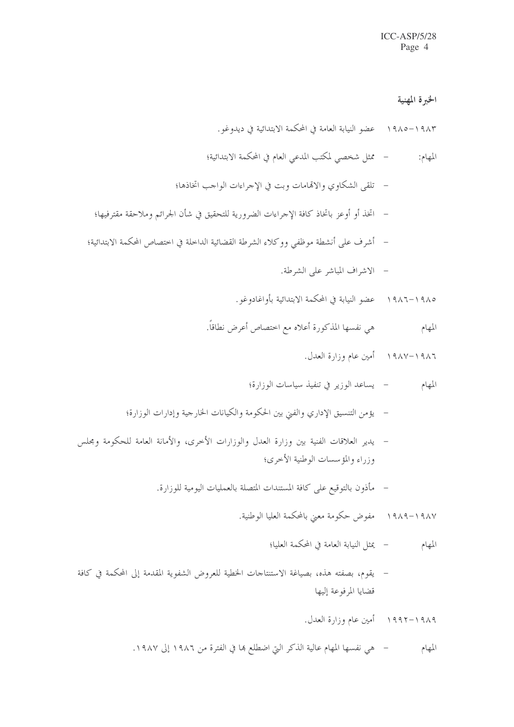#### الخبرة المهنية

- ١٩٨٣ -١٩٨٥ عضو النيابة العامة في المحكمة الابتدائية في ديدوغو .
- ممثل شخصي لمكتب المدعى العام في المحكمة الابتدائية؛ المهام:
- تلقى الشكاوى والاقمامات وبت في الإجراءات الواحب اتخاذها؛
- اتخذ أو أوعز باتخاذ كافة الإجراءات الضرورية للتحقيق في شأن الجرائم وملاحقة مقترفيها؛
- أشرف على أنشطة موظف ووكلاء الشرطة القضائية الداخلة في اختصاص المحكمة الابتدائية؛
	- الاشراف المباشر على الشرطة.
	- ١٩٨٥–١٩٨٦ عضو النيابة في المحكمة الابتدائية بأواغادوغو .
	- هي نفسها المذكورة أعلاه مع اختصاص أعرض نطاقاً. المهام
		- ١٩٨٦–١٩٨٧ أمين عام وزارة العدل.
		- المهام يساعد الوزير في تنفيذ سياسات الوزارة؛
	- يؤمن التنسيق الإداري والفني بين الحكومة والكيانات الخارجية وإدارات الوزارة؛
- يدير العلاقات الفنية بين وزارة العدل والوزارات الأخرى، والأمانة العامة للحكومة ومجلس وزراء والمؤسسات الوطنية الأخرى؛
	- مأذون بالتوقيع على كافة المستندات المتصلة بالعمليات اليومية للوزارة.
		- ١٩٨٧–١٩٨٩ مفوض حكومة معنى بالمحكمة العليا الوطنية.

– يمثل النبابة العامة في المحكمة العلبا؛ المهام

– يقوم، بصفته هذه، بصياغة الاستنتاجات الخطية للعروض الشفوية المقدمة إلى المحكمة في كافة قضابا المرفوعة إلىها

١٩٨٩–١٩٩٢ - أمين عام وزارة العدل.

– هي نفسها المهام عالية الذكر التي اضطلع ها في الفترة من ١٩٨٦ إلى ١٩٨٧. المهام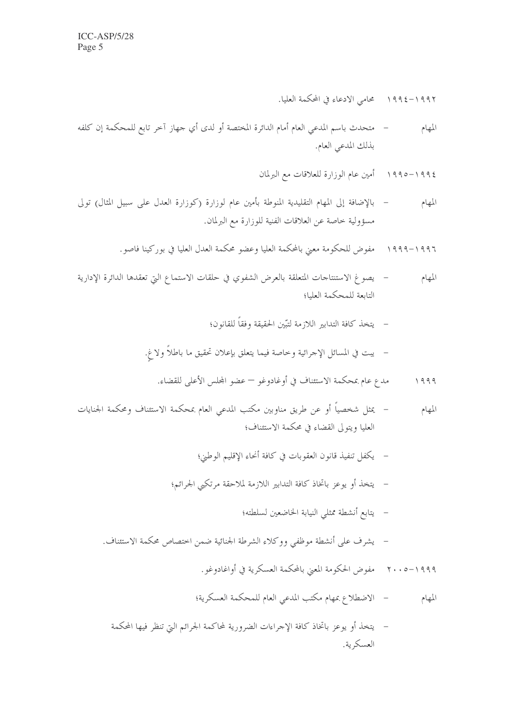- متحدث باسم المدعى العام أمام الدائرة المختصة أو لدى أي جهاز آخر تابع للمحكمة إن كلفه المهام بذلك المدعى العام.
	- ١٩٩٤–١٩٩٥ أمين عام الوزارة للعلاقات مع البرلمان
- بالإضافة إلى المهام التقليدية المنوطة بأمين عام لوزارة (كوزارة العدل على سبيل المثال) تولى المهام مسؤولية خاصة عن العلاقات الفنية للوزارة مع البرلمان.
	- ١٩٩٦–١٩٩٩ مفوض للحكومة معنى بالمحكمة العليا وعضو محكمة العدل العليا في بوركينا فاصو.
- يصوغ الاستنتاجات المتعلقة بالعرض الشفوي في حلقات الاستماع التي تعقدها الدائرة الإدارية المهام التابعة للمحكمة العليا؛
	- يتخذ كافة التدابير اللازمة لتبَّين الحقيقة وفقاً للقانون؛

- مدع عام بمحكمة الاستئناف في أوغادوغو عضو المجلس الأعلى للقضاء.  $1999$
- يمثل شخصياً أو عن طريق مناوبين مكتب المدعى العام بمحكمة الاستئناف ومحكمة الجنايات المهام العليا ويتولى القضاء في محكمة الاستئناف؛
	- يكفل تنفيذ قانون العقوبات في كافة أنحاء الإقليم الوطني؛
	- يتخذ أو يوعز باتخاذ كافة التدابير اللازمة لملاحقة مرتكبي الجرائم؛
		- يتابع أنشطة ممثلي النيابة الخاضعين لسلطته؛
	- يشرف على أنشطة موظفى ووكلاء الشرطة الجنائية ضمن اختصاص محكمة الاستئناف.
		- ١٩٩٩–٢٠٠٥ مفوض الحكومة المعنى بالمحكمة العسكرية في أواغادوغو .
		- المهام الاضطلاع عمهام مكتب المدعى العام للمحكمة العسكرية؛
		- يتخذ أو يوعز باتخاذ كافة الإجراءات الضرورية لمحاكمة الجرائم التي تنظر فيها المحكمة العسكرية.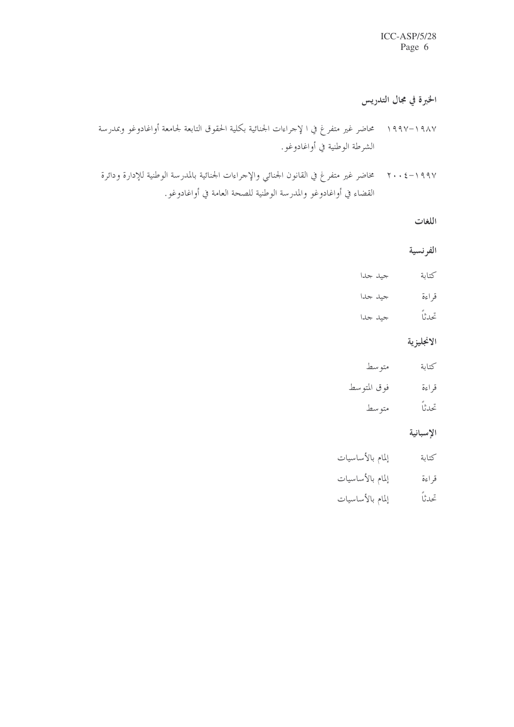الخبرة في مجال التدريس

- ١٩٨٧–١٩٩٧ محاضر غير متفر غ في ا لإجراءات الجنائية بكلية الحقوق التابعة لجامعة أواغادوغو وبمدرسة الشرطة الوطنية في أواغادوغو.
- ١٩٩٧–٢٠٠٤ مخاضر غير متفر غ في القانون الجنائي والإحراءات الجنائية بالمدرسة الوطنية للإدارة ودائرة القضاء في أواغادوغو والمدرسة الوطنية للصحة العامة في أواغادوغو.

اللغات

الفرنسية

- كتابة حدا
- قراءة حيد جدا

تحدثاً جيد جدا

الانجليزية

متوسط كتابة فوق المتوسط قراءة تحدثاً متوسط

الإسبانية

- إلمام بالأساسيات كتابة قراءة إلمام بالأساسيات
- إلمام بالأساسيات تحدثاً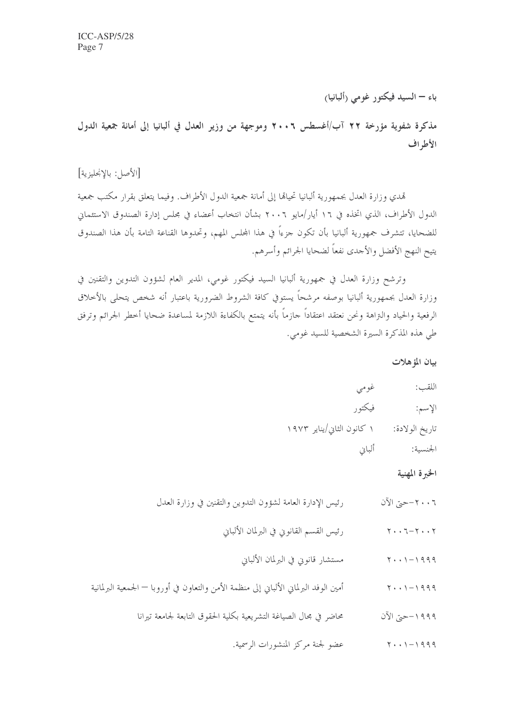باء — السيد فيكتور غومي (ألبانيا)

مذكرة شفوية مؤرخة ٢٢ آب/أغسطس ٢٠٠٦ وموجهة من وزير العدل في ألبانيا إلى أمانة جمعية الدول الأطراف

[الأصل: بالإنجليزية]

تمدي وزارة العدل بجمهورية ألبانيا تحيالها إلى أمانة جمعية الدول الأطراف. وفيما يتعلق بقرار مكتب جمعية الدول الأطراف، الذي اتخذه في ١٦ أيار/مايو ٢٠٠٦ بشأن انتخاب أعضاء في مجلس إدارة الصندوق الاستئماني للضحايا، تتشرف جمهورية ألبانيا بأن تكون جزءاً في هذا المحلس المهم، وتحدوها القناعة التامة بأن هذا الصندوق يتيح النهج الأفضل والأحدى نفعاً لضحايا الحرائم وأسرهم.

وترشح وزارة العدل في جمهورية ألبانيا السيد فيكتور غومي، المدير العام لشؤون التدوين والتقنين في وزارة العدل بجمهورية ألبانيا بوصفه مرشحاً يستوفي كافة الشروط الضرورية باعتبار أنه شخص يتحلى بالأخلاق الرفعية والحياد والتراهة ونحن نعتقد اعتقاداً حازماً بأنه يتمتع بالكفاءة اللازمة لمساعدة ضحايا أخطر الجرائم وترفق طي هذه المذكرة السيرة الشخصية للسيد غومي.

بيان المؤهلات

الخبرة المهنية

- رئيس الإدارة العامة لشؤون التدوين والتقنين في وزارة العدل ٢٠٠٦-حتى الآن
	- رئيس القسم القانوني في البرلمان الألباني  $Y \cdot Y - T - Y \cdot Y$ 
		- مستشار قانوني في البرلمان الألباني  $Y \cdot \cdot \cdot - 1999$
- أمين الوفد البرلماني الألباني إلى منظمة الأمن والتعاون في أوروبا الجمعية البرلمانية  $Y \cdot \cdot \cdot - 1999$ 
	- محاضر في مجال الصياغة التشريعية بكلية الحقوق التابعة لجامعة تيرانا ١٩٩٩-حتى الآن
		- عضو لجنة مركز المنشورات الرسمية.  $Y \cdot Y - 1999$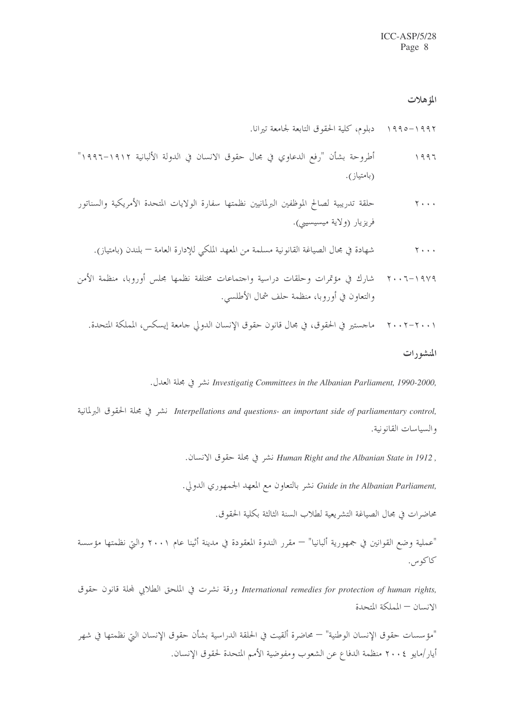#### المؤهلات

أطروحة بشأن "رفع الدعاوي في مجال حقوق الانسان في الدولة الألبانية ١٩١٢–١٩٩٦"  $1997$ (بامتياز ).

٢٠٠٦-١٩٧٩ - شارك في مؤتمرات وحلقات دراسية واجتماعات مختلفة نظمها مجلس أوروبا، منظمة الأمن والتعاون في أوروبا، منظمة حلف شمال الأطلسي.

#### المنشورات

. Investigatig Committees in the Albanian Parliament, 1990-2000 نشر في مجلة العدل.

.Interpellations and questions- an important side of parliamentary control نشر في مجلة الحقوق البرلمانية والسياسات القانونية.

, Human Right and the Albanian State in 1912 نشر في مجلة حقوق الانسان.

,Guide in the Albanian Parliament نشر بالتعاون مع المعهد الجمهوري الدولي.

محاضرات في مجال الصياغة التشريعية لطلاب السنة الثالثة بكلية الحقوق.

"عملية وضع القوانين في جمهورية ألبانيا" — مقرر الندوة المعقودة في مدينة أثينا عام ٢٠٠١ والتي نظمتها مؤسسة كاكوس.

International remedies for protection of human rights, ورقة نشرت في الملحق الطلابي لمجلة قانون حقوق الانسان – المملكة المتحدة

"مؤسسات حقوق الإنسان الوطنية" — محاضرة ألقيت في الحلقة الدراسية بشأن حقوق الإنسان التي نظمتها في شهر أيار/مايو ٢٠٠٤ منظمة الدفاع عن الشعوب ومفوضية الأمم المتحدة لحقوق الإنسان.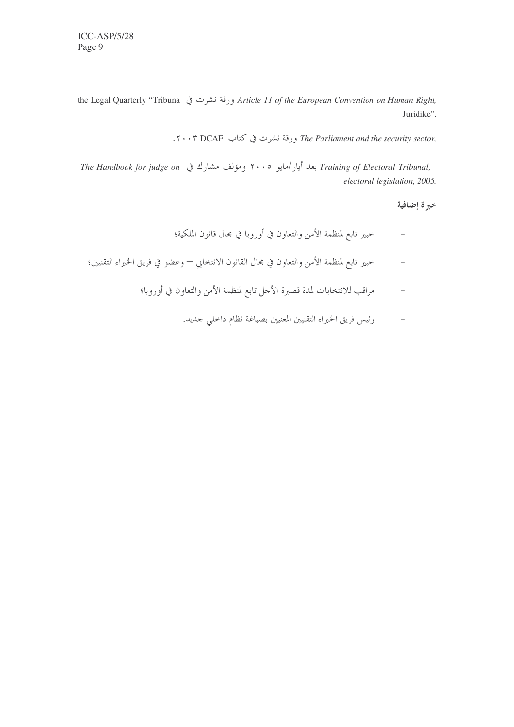the Legal Quarterly "Tribuna ورقة نشرت في Article 11 of the European Convention on Human Right, Juridike".

.۲۰۰۳ DCAF ورقة نشرت في كتاب The Parliament and the security sector,

Training of Electoral Tribunal, بعد أيار/مايو ٢٠٠٥ ومؤلف مشارك في The Handbook for judge on electoral legislation, 2005.

خبرة إضافية

- حبير تابع لمنظمة الأمن والتعاون في أوروبا في محال قانون الملكية؛  $\equiv$
- حبير تابع لمنظمة الأمن والتعاون في مجال القانون الانتخابي وعضو في فريق الخبراء التقنيين؛  $\equiv$ 
	- مراقب للانتخابات لمدة قصيرة الأحل تابع لمنظمة الأمن والتعاون في أوروبا؛
		- رئيس فريق الخبراء التقنيين المعنيين بصياغة نظام داحلي جديد.  $\overline{a}$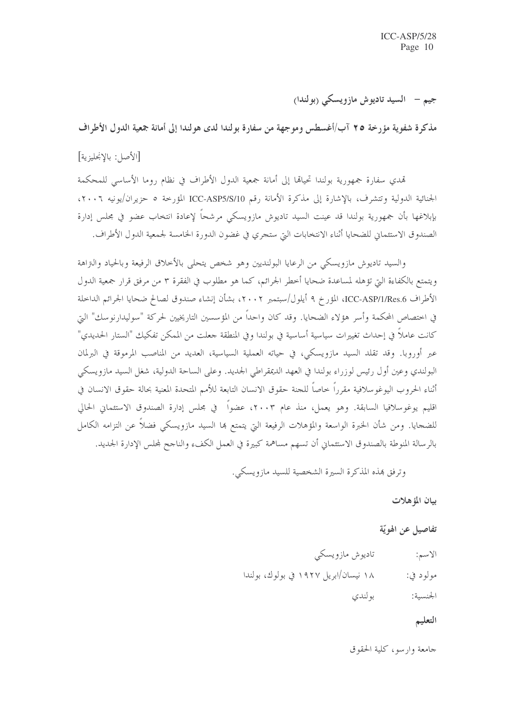جيم – السيد تاديوش مازويسكي (بولندا)

مذكرة شفهِ ية مؤرخة ٢٥ آب/أغسطس وموجهة من سفارة بولندا لدى هولندا إلى أمانة جمعية الدول الأطراف

[الأصل: بالإنحليزية]

تمدي سفارة جمهورية بولندا تحيالها إلى أمانة جمعية الدول الأطراف في نظام روما الأساسي للمحكمة الجنائية الدولية وتتشرف، بالإشارة إلى مذكرة الأمانة رقم ICC-ASP5/S/10 المؤرخة ٥ حزيران/يونيه ٢٠٠٦، بإبلاغها بأن جمهورية بولندا قد عينت السيد تاديوش مازويسكي مرشحاً لإعادة انتخاب عضو في مجلس إدارة الصندوق الاستئماني للضحايا أثناء الانتخابات التي ستجري في غضون الدورة الخامسة لجمعية الدول الأطراف.

والسيد تاديوش مازويسكي من الرعايا البولنديين وهو شخص يتحلى بالأخلاق الرفيعة وبالحياد والتزاهة ويتمتع بالكفاءة التي تؤهله لمساعدة ضحايا أخطر الجرائم، كما هو مطلوب في الفقرة ٣ من مرفق قرار جمعية الدول الأطراف ICC-ASP/1/Res.6، المؤرخ ٩ أيلول/سبتمبر ٢٠٠٢، بشأن إنشاء صندوق لصالح ضحايا الجرائم الداخلة في اختصاص المحكمة وأسر هؤلاء الضحايا. وقد كان واحداً من المؤسسين التاريخيين لحركة "سوليدارنوسك" التي كانت عاملاً في إحداث تغييرات سياسية أساسية في بولندا وفي المنطقة جعلت من الممكن تفكيك "الستار الحديدي" عبر أوروبا. وقد تقلد السيد مازويسكي، في حياته العملية السياسية، العديد من المناصب المرموقة في البرلمان البولندي وعين أول رئيس لوزراء بولندا في العهد الديمقراطي الجديد. وعلى الساحة الدولية، شغل السيد مازويسكي أثناء الحروب اليوغوسلافية مقررًا حاصاً للحنة حقوق الانسان التابعة للأمم المتحدة المعنية بحالة حقوق الانسان في اقليم يوغوسلافيا السابقة. وهو يعمل، منذ عام ٢٠٠٣، عضواً في مجلس إدارة الصندوق الاستئماني الحالي للضحايا. ومن شأن الخبرة الواسعة والمؤهلات الرفيعة التي يتمتع بما السيد مازويسكي فضلاً عن التزامه الكامل بالرسالة المنوطة بالصندوق الاستئماني أن تسهم مساهمة كبيرة في العمل الكفء والناجح لمحلس الإدارة الجديد.

وترفق بمذه المذكرة السيرة الشخصية للسبد مازويسكي.

بيان المؤهلات

تفاصيل عن الهويّة

تاديوش مازويسكي الاسم: ۱۸ نیسان/ابریل ۱۹۲۷ فی بولوك، بولندا مولود في: بو لندي الجنسية:

التعليم

جامعة وإرسو، كلية الحقوق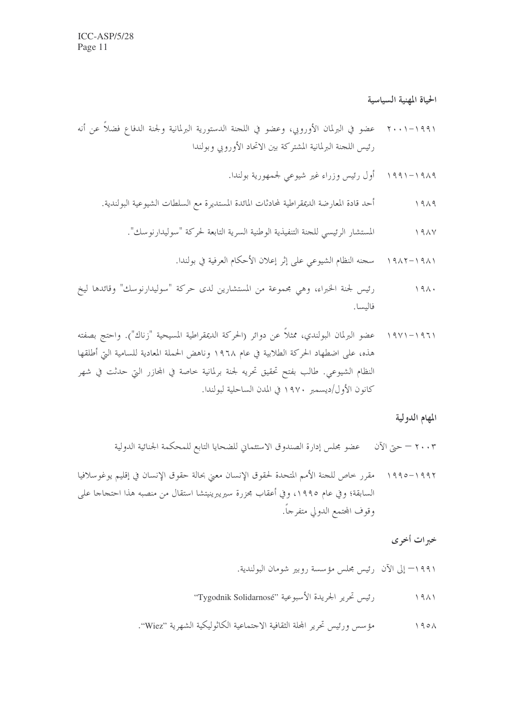الحياة المهنية السياسية

- ٢٠٠١–٢٠٠١ عضو في البرلمان الأوروبي، وعضو في اللجنة الدستورية البرلمانية ولجنة الدفاع فضلاً عن أنه رئيس اللجنة البرلمانية المشتركة بين الاتحاد الأوروبي وبولندا
	- ۱۹۸۹–۱۹۹۱ \_ أول رئيس وزراء غير شيوعي لجمهورية بولندا.
	- أحد قادة المعارضة الديمقراطية لمحادثات المائدة المستديرة مع السلطات الشيوعية البولندية.  $1919$

- رئيس لجنة الخيراء، وهي مجموعة من المستشارين لدى حركة "سوليدارنوسك" وقائدها ليخ  $191.$ فاليسا.
- ١٩٦١–١٩٧١ عضو البرلمان البولندي، ممثلاً عن دوائر (الحركة الديمقراطية المسيحية "زناك"). واحتج بصفته هذه، على اضطهاد الحركة الطلابية في عام ١٩٦٨ وناهض الحملة المعادية للسامية التي أطلقها النظام الشيوعي. طالب بفتح تحقيق تحريه لجنة برلمانية حاصة في المحازر التي حدثت في شهر كانون الأول/ديسمبر ١٩٧٠ في المدن الساحلية لبولندا.

### المهام الدولية

- ٢٠٠٣ حيِّ الآن مصحِّ بحلس إدارة الصندوق الاستئماني للضحايا التابع للمحكمة الجنائية الدولية
- ١٩٩٢–١٩٩٥ مقرر خاص للجنة الأمم المتحدة لحقوق الإنسان معنى بحالة حقوق الإنسان في إقليم يوغوسلافيا السابقة؛ وفي عام ١٩٩٥، وفي أعقاب مجزرة سيريبرينيتشا استقال من منصبه هذا احتجاجا على وقوف المحتمع الدولي متفرجاً.

## خبرات أخرى

- ١٩٩١= إلى الآن رئيس مجلس مؤسسة روبير شومان البولندية.
- رئيس تحرير الجريدة الأسبوعية "Tygodnik Solidarnosé"  $1911$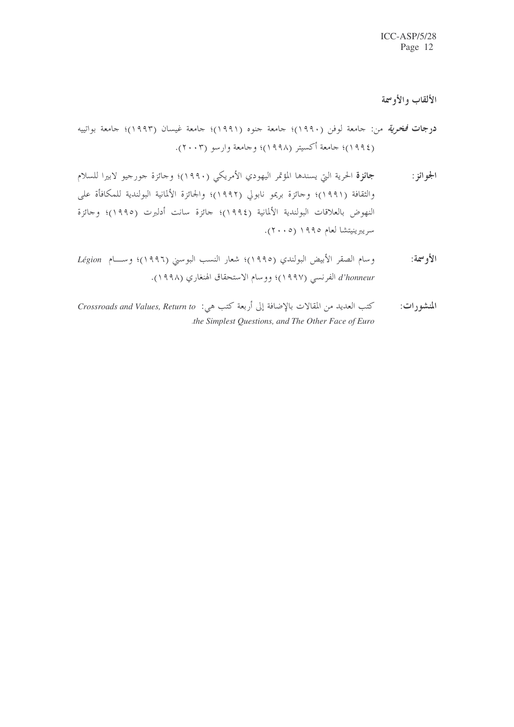الألقاب والأوسمة

- <mark>درجات فخر*ية* من: جامعة لوفن (١٩٩٠)؛ جامعة جنوه (١٩٩١)؛ جامعة غيسان (١٩٩٣)؛ جامعة بواتييه</mark> (١٩٩٤)؛ جامعة أكسيتر (١٩٩٨)؛ وجامعة وارسو (٢٠٠٣).
- جائزة الحرية التي يسندها المؤتمر اليهودي الأمريكي (١٩٩٠)؛ وحائزة حورجيو لابيرا للسلام الجو ائز : والثقافة (١٩٩١)؛ وحائزة بريمو نابولي (١٩٩٢)؛ والجائزة الألمانية البولندية للمكافأة على النهوض بالعلاقات البولندية الألمانية (١٩٩٤)؛ حائزة سانت أدلبرت (١٩٩٥)؛ وحائزة سريبرينيتشا لعام ١٩٩٥ (٢٠٠٥).
- وسام الصقر الأبيض البولندي (١٩٩٥)؛ شعار النسب البوسني (١٩٩٦)؛ وســام Légion الأوسمة: d'honneur الفرنسي (١٩٩٧)؛ ووسام الاستحقاق الهنغاري (١٩٩٨).
- كتب العديد من المقالات بالإضافة إلى أربعة كتب هي: Crossroads and Values, Return to المنشورات: the Simplest Questions, and The Other Face of Euro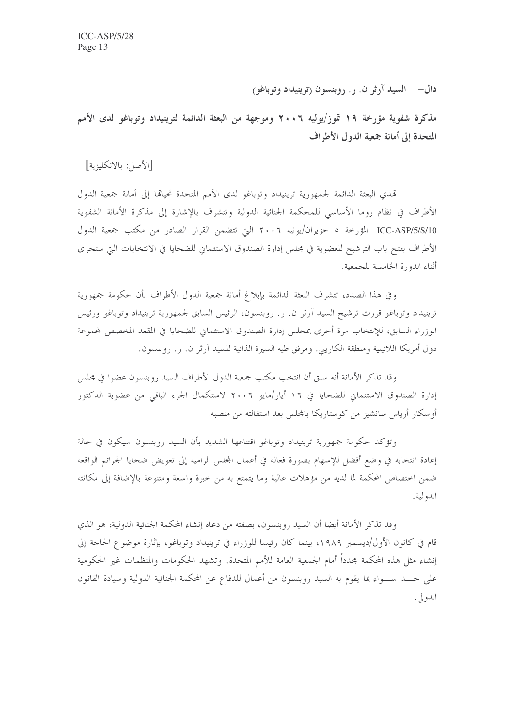دال— السيد آرثر ن. ۱ . روبنسون (ترينيداد وتوباغو)

مذكرة شفوية مؤرخة ١٩ قوز/يوليه ٢٠٠٦ وموجهة من البعثة الدائمة لترينيداد وتوباغو لدى الأمم المتحدة إلى أمانة جمعية الدول الأطراف

[الأصل: بالانكليزية]

تمدى البعثة الدائمة لجمهورية ترينيداد وتوباغو لدى الأمم المتحدة تحيالها إلى أمانة جمعية الدول الأطراف في نظام روما الأساسي للمحكمة الجنائية الدولية وتتشرف بالإشارة إلى مذكرة الأمانة الشفوية ICC-ASP/5/S/10 المؤرخة ٥ حزيران/يونيه ٢٠٠٦ التي تتضمن القرار الصادر من مكتب جمعية الدول الأطراف بفتح باب الترشيح للعضوية في مجلس إدارة الصندوق الاستئماني للضحايا في الانتخابات التي ستجرى أثناء الدورة الخامسة للجمعية.

وفي هذا الصدد، تتشرف البعثة الدائمة بإبلاغ أمانة جمعية الدول الأطراف بأن حكومة جمهورية ترينيداد وتوباغو قررت ترشيح السيد آرثر ن. ر. روبنسون، الرئيس السابق لجمهورية ترينيداد وتوباغو ورئيس الوزراء السابق، للإنتخاب مرة أحرى بمجلس إدارة الصندوق الاستئماني للضحايا في المقعد المخصص لمحموعة دول أمريكا اللاتينية ومنطقة الكاريبي. ومرفق طيه السيرة الذاتية للسيد آرثر ن. ر. روبنسون.

وقد تذكر الأمانة أنه سبق أن انتخب مكتب جمعية الدول الأطراف السيد روبنسون عضوا في مجلس إدارة الصندوق الاستئماني للضحايا في ١٦ أيار/مايو ٢٠٠٦ لاستكمال الجزء الباقي من عضوية الدكتور أو سكار أرياس سانشيز من كوستاريكا بالمجلس بعد استقالته من منصبه.

وتؤكد حكومة جمهورية ترينيداد وتوباغو اقتناعها الشديد بأن السيد روبنسون سيكون في حالة إعادة انتخابه في وضع أفضل للإسهام بصورة فعالة في أعمال المحلس الرامية إلى تعويض ضحايا الجرائم الواقعة ضمن اختصاص المحكمة لما لديه من مؤهلات عالية وما يتمتع به من خبرة واسعة ومتنوعة بالإضافة إلى مكانته الدولية.

وقد تذكر الأمانة أيضا أن السيد , وبنسون، بصفته من دعاة إنشاء المحكمة الجنائية الدولية، هو الذي قام في كانون الأول/ديسمبر ١٩٨٩، بينما كان رئيسا للوزراء في ترينيداد وتوباغو، بإثارة موضوع الحاجة إلى إنشاء مثل هذه المحكمة مجدداً أمام الجمعية العامة للأمم المتحدة. وتشهد الحكومات والمنظمات غير الحكومية على حـــد ســــواء بما يقوم به السيد روبنسون من أعمال للدفاع عن المحكمة الجنائية الدولية وسيادة القانون الدولي.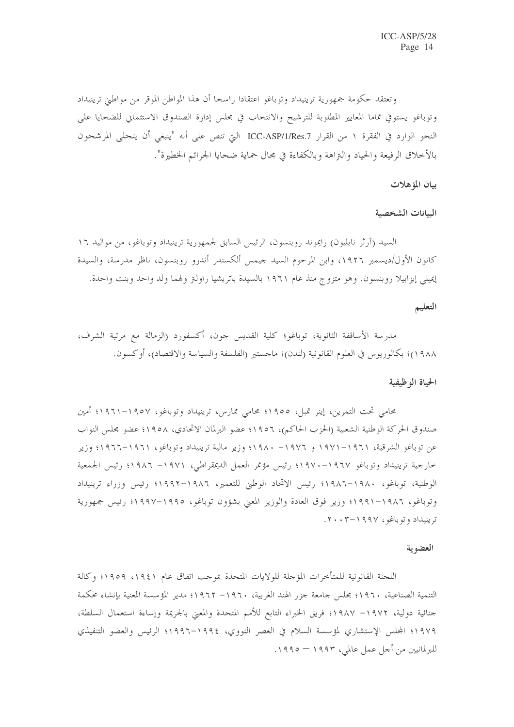وتعتقد حكومة جمهورية ترينيداد وتوباغو اعتقادا راسخا أن هذا المواطن الموقر من مواطني ترينيداد وتوباغو يستوفى تماما المعايير المطلوبة للترشيح والانتخاب في مجلس إدارة الصندوق الاستئماني للضحايا على النحو الوارد في الفقرة ١ من القرار ICC-ASP/1/Res.7 التي تنص على أنه "ينبغي أن يتحلى المرشحون بالأخلاق الرفيعة والحياد والنزاهة وبالكفاءة في مجال حماية ضحايا الجرائم الخطيرة".

بيان المؤهلات

البيانات الشخصية

السيد (آرثر نابليون) رايموند روبنسون، الرئيس السابق لجمهورية ترينيداد وتوباغو، من مواليد ١٦ كانون الأول/ديسمبر ١٩٢٦، وابن المرحوم السيد جيمس ألكسندر أندرو روبنسون، ناظر مدرسة، والسيدة إيميلي إيزابيلا روبنسون. وهو متزوج منذ عام ١٩٦١ بالسيدة باتريشيا راولتر ولهما ولد واحد وبنت واحدة.

### التعليم

مدرسة الأساقفة الثانوية، توباغو؛ كلية القديس جون، أكسفورد (الزمالة مع مرتبة الشرف، ١٩٨٨)؛ بكالوريوس في العلوم القانونية (لندن)؛ ماجستير (الفلسفة والسياسة والاقتصاد)، أو كسون.

#### الحياة الوظيفية

محامي تحت التمرين، إينر تمبل، ١٩٥٥؛ محامي ممارس، ترينيداد وتوباغو، ١٩٥٧–١٩٦١؛ أمين صندوق الحركة الوطنية الشعبية (الحزب الحاكم)، ١٩٥٦؛ عضو البرلمان الاتحادي، ١٩٥٨؛ عضو مجلس النواب عن توباغو الشرقية، ١٩٦١–١٩٧١ و ١٩٧٦- ١٩٨٠؛ وزير مالية ترينيداد وتوباغو، ١٩٦١–١٩٦٦؛ وزير خارجية ترينيداد وتوباغو ١٩٦٧-١٩٧٠؛ رئيس مؤتمر العمل الديمقراطي، ١٩٧١– ١٩٨٦؛ رئيس الجمعية الوطنية، توباغو، ١٩٨٠–١٩٨٦؛ رئيس الاتحاد الوطني للتعمير، ١٩٨٦–١٩٩٢؛ رئيس وزراء ترينيداد وتوباغو، ١٩٨٦–١٩٩١؛ وزير فوق العادة والوزير المعني بشؤون توباغو، ١٩٩٥–١٩٩٧؛ رئيس جمهورية ترينيداد وتوباغو، ١٩٩٧-٢٠٠٣.

#### العضوية

اللجنة القانونية للمتأخرات المؤجلة للولايات المتحدة بموجب اتفاق عام ١٩٤١، ١٩٥٩؛ وكالة التنمية الصناعية، ١٩٦٠؛ مجلس جامعة جزر الهند الغربية، ١٩٦٠– ١٩٦٢؛ مدير المؤسسة المعنية بإنشاء محكمة جنائية دولية، ١٩٧٢– ١٩٨٧؛ فريق الخبراء التابع للأمم المتحدة والمعنى بالجريمة وإساءة استعمال السلطة، ١٩٧٩؛ المجلس الإستشاري لمؤسسة السلام في العصر النووي، ١٩٩٤–١٩٩٦؛ الرئيس والعضو التنفيذي للبرلمانيين من أجل عمل عالمي، ١٩٩٣ – ١٩٩٥.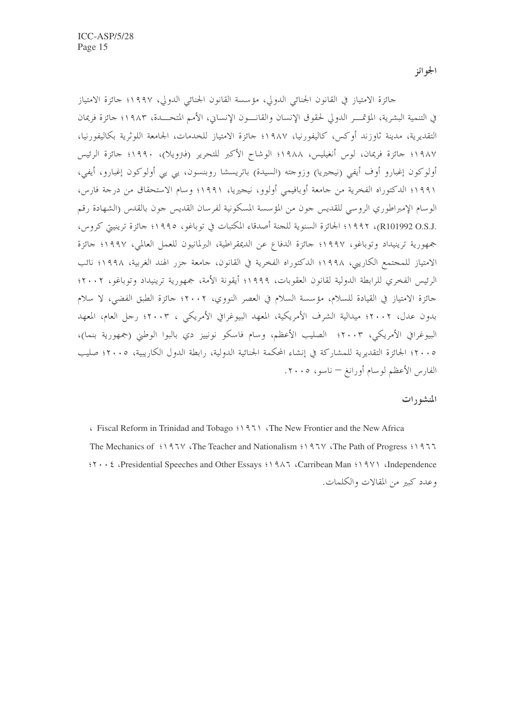الجو ائز

جائزة الامتياز في القانون الجنائبي الدولي، مؤسسة القانون الجنائبي الدولي، ١٩٩٧؛ جائزة الامتياز في التنمية البشرية، المؤتمـــر الدولي لحقوق الإنسان والقانــــون الإنساني، الأمم المتحــــدة، ١٩٨٣؛ جائزة فريمان التقديرية، مدينة ثاوزند أوكس، كاليفورنيا، ١٩٨٧؛ حائزة الامتياز للخدمات، الجامعة اللوثرية بكاليفورنيا، ١٩٨٧؛ جائزة فريمان، لوس أنغيليس، ١٩٨٨؛ الوشاح الأكبر للتحرير (فترويلا)، ١٩٩٠؛ جائزة الرئيس أولوكون إغبارو أوف أيفي (نيجيريا) وزوجته (السيدة) باتريسشا روبنسون، يي يي أولوكون إغبارو، أيفي، ١٩٩١؛ الدكتوراه الفخرية من جامعة أوبافيمي أولوو، نيجيريا، ١٩٩١؛ وسام الاستحقاق من درجة فارس، الوسام الإمبراطوري الروسي للقديس جون من المؤسسة المسكونية لفرسان القديس جون بالقدس (الشهادة رقم .R101992 O.S.J)، ١٩٩٢؛ الجائزة السنوية للجنة أصدقاء المكتبات في توباغو، ١٩٩٥؛ جائزة ترينيتي كروس، جمهورية ترينيداد وتوباغو، ١٩٩٧؛ جائزة الدفاع عن الديمقراطية، البرلمانيون للعمل العالمي، ١٩٩٧؛ جائزة الامتياز للمجتمع الكاريبي، ١٩٩٨؛ الدكتوراه الفخرية في القانون، جامعة جزر الهند الغربية، ١٩٩٨؛ نائب الرئيس الفخري للرابطة الدولية لقانون العقوبات، ١٩٩٩؛ أيقونة الأمة، جمهورية ترينيداد وتوباغو، ٢٠٠٢؛ جائزة الامتياز في القيادة للسلام، مؤسسة السلام في العصر النووي، ٢٠٠٢؛ جائزة الطبق الفضى، لا سلام بدون عدل، ٢٠٠٢؛ ميدالية الشرف الأمريكية، المعهد البيوغرافي الأمريكي ، ٢٠٠٣؛ رجل العام، المعهد البيوغرافي الأمريكي، ٢٠٠٣؛ الصليب الأعظم، وسام فاسكو نونييز دي بالبوا الوطني (جمهورية بنما)، ٢٠٠٥؛ الجائزة التقديرية للمشاركة في إنشاء المحكمة الجنائية الدولية، رابطة الدول الكاريبية، ٢٠٠٥؛ صليب الفارس الأعظم لوسام أورانغ — ناسو، ٢٠٠٥.

#### المنشورات

Fiscal Reform in Trinidad and Tobago '\\\ampha \'\ampha New Frontier and the New Africa The Mechanics of '197V (The Teacher and Nationalism '197V (The Path of Progress '1977 it . Exercise and Other Essays in the Carribean Man in the Modern Carribean Man in the Modern Contract of the Modern Carribean Man in the Modern Contract of the Modern Carribean Man in the Modern Contract of the Modern Con وعدد كبير من المقالات والكلمات.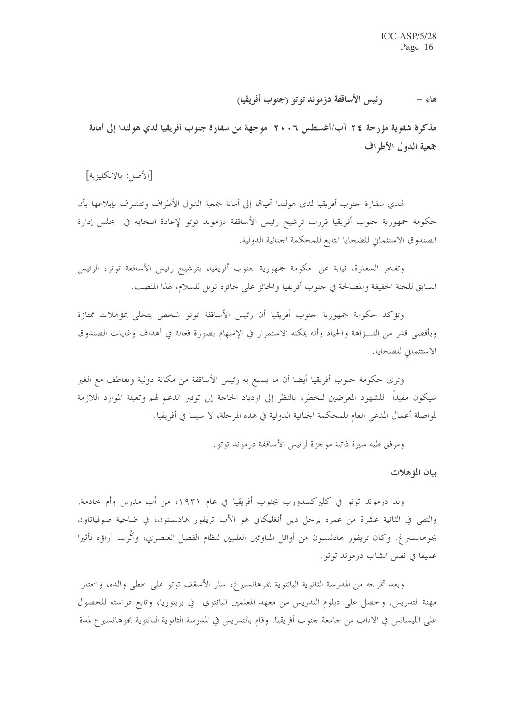رئيس الأساقفة دزموند توتو (جنوب أفريقيا) هاءِ –

مذكرة شفوية مؤرخة ٢٤ آب/أغسطس ٢٠٠٦ موجهة من سفارة جنوب أفريقيا لدي هولندا إلى أمانة جمعية الدول الأطراف

[الأصل: بالانكليزية]

تمدى سفارة جنوب أفريقيا لدى هولندا تحيالها إلى أمانة جمعية الدول الأطراف وتتشرف بإبلاغها بأن حكومة جمهورية جنوب أفريقيا قررت ترشيح رئيس الأساقفة دزموند توتو لإعادة انتخابه في مجلس إدارة الصندوق الاستئماني للضحايا التابع للمحكمة الجنائية الدولية.

وتفخر السفارة، نيابة عن حكومة جمهورية حنوب أفريقيا، بترشيح رئيس الأساقفة توتو، الرئيس السابق للحنة الحقيقة والمصالحة في حنوب أفريقيا والحائز على حائزة نوبل للسلام، لهذا المنصب.

وتؤكد حكومة جمهورية حنوب أفريقيا أن رئيس الأساقفة توتو شخص يتحلى بمؤهلات ممتازة وبأقصى قدر من النـــزاهة والحياد وأنه يمكنه الاستمرار في الإسهام بصورة فعالة في أهداف وغايات الصندوق الاستئماني للضحايا.

وترى حكومة جنوب أفريقيا أيضا أن ما يتمتع به رئيس الأساقفة من مكانة دولية وتعاطف مع الغير سيكون مفيداً للشهود المعرضين للخطر، بالنظر إلى ازدياد الحاجة إلى توفير الدعم لهم وتعبئة الموارد اللازمة لمواصلة أعمال المدعى العام للمحكمة الجنائية الدولية في هذه المرحلة، لا سيما في أفريقيا.

ومرفق طيه سيرة ذاتية موجزة لرئيس الأساقفة دزموند توتو .

بيان المؤهلات

ولد دزموند توتو في كليركسدورب بجنوب أفريقيا في عام ١٩٣١، من أب مدرس وأم حادمة. والتقى في الثانية عشرة من عمره برحل دين أنغليكاني هو الأب تريفور هادلستون، في ضاحية صوفياتاون بجوهانسبر غ. وكان تريفور هادلستون من أوائل المناوئين العلنيين لنظام الفصل العنصري، وأثَّرت آراؤه تأثيرا عميقًا في نفس الشاب دزموند توتو.

وبعد تخرجه من المدرسة الثانوية البانتوية بجوهانسبرغ، سار الأسقف توتو على خطى والده، واختار مهنة التدريس. وحصل على دبلوم التدريس من معهد المعلمين البانتوي في بريتوريا، وتابع دراسته للحصول على الليسانس في الآداب من حامعة حنوب أفريقيا. وقام بالتدريس في المدرسة الثانوية البانتوية بجوهانسبر غ لمدة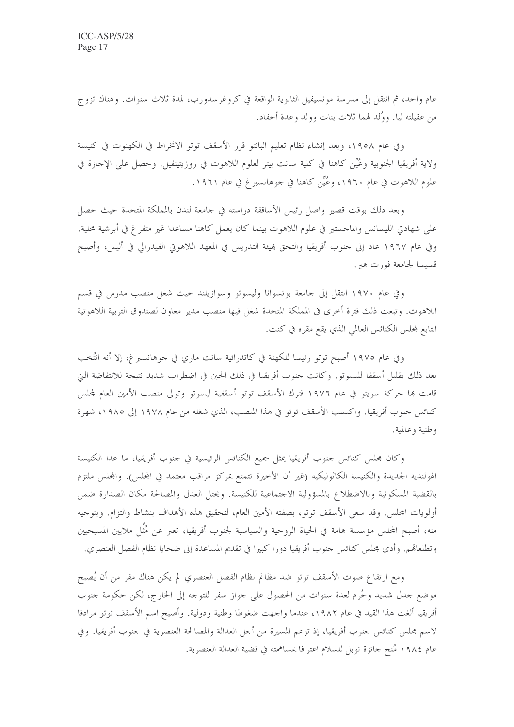عام واحد، ثم انتقل إلى مدرسة مونسيفيل الثانوية الواقعة في كروغرسدورب، لمدة ثلاث سنوات. وهناك تزوج من عقيلته ليا. ووُلد لهما ثلاث بنات وولد وعدة أحفاد.

وفي عام ١٩٥٨، وبعد إنشاء نظام تعليم البانتو قرر الأسقف توتو الانخراط في الكهنوت في كنيسة ولاية أفريقيا الجنوبية وعُيِّن كاهنا في كلية سانت بيتر لعلوم اللاهوت في روزيتينفيل. وحصل على الإحازة في علوم اللاهوت في عام ١٩٦٠، وعُيِّن كاهنا في حوهانسبرغ في عام ١٩٦١.

وبعد ذلك بوقت قصير واصل رئيس الأساقفة دراسته في حامعة لندن بالمملكة المتحدة حيث حصل على شهادن الليسانس والماجستير في علوم اللاهوت بينما كان يعمل كاهنا مساعدا غير متفرغ في أبرشية محلية. وفي عام ١٩٦٧ عاد إلى حنوب أفريقيا والتحق بميئة التدريس في المعهد اللاهوتي الفيدرالي في أليس، وأصبح قسيسا لجامعة فورت هير.

وفي عام ١٩٧٠ انتقل إلى جامعة بوتسوانا وليسوتو وسوازيلند حيث شغل منصب مدرس في قسم اللاهوت. وتبعت ذلك فترة أخرى في المملكة المتحدة شغل فيها منصب مدير معاون لصندوق التربية اللاهوتية التابع لمحلس الكنائس العالمي الذي يقع مقره في كنت.

وفي عام ١٩٧٥ أصبح توتو رئيسا للكهنة في كاتدرائية سانت ماري في جوهانسبرغ، إلا أنه انتُخب بعد ذلك بقليل أسقفا لليسوتو. وكانت حنوب أفريقيا في ذلك الحين في اضطراب شديد نتيجة للانتفاضة التي قامت ها حركة سويتو في عام ١٩٧٦ فترك الأسقف توتو أسقفية ليسوتو وتولى منصب الأمين العام لمحلس كنائس جنوب أفريقيا. واكتسب الأسقف توتو في هذا المنصب، الذي شغله من عام ١٩٧٨ إلى ١٩٨٥، شهرة وطنية وعالمية.

وكان مجلس كنائس حنوب أفريقيا يمثل جميع الكنائس الرئيسية في حنوب أفريقيا، ما عدا الكنيسة الهولندية الجديدة والكنيسة الكاثوليكية (غير أن الأخيرة تتمتع بمركز مراقب معتمد في المجلس). والمجلس ملتزم بالقضية المسكونية وبالاضطلاع بالمسؤولية الاحتماعية للكنيسة. ويحتل العدل والمصالحة مكان الصدارة ضمن أولويات المجلس. وقد سعى الأسقف توتو، بصفته الأمين العام، لتحقيق هذه الأهداف بنشاط والتزام. وبتوجيه منه، أصبح المحلس مؤسسة هامة في الحياة الروحية والسياسية لجنوب أفريقيا، تعبر عن مُثَل ملايين المسيحيين وتطلعاهم. وأدى مجلس كنائس جنوب أفريقيا دورا كبيرا في تقديم المساعدة إلى ضحايا نظام الفصل العنصري.

ومع ارتفاع صوت الأسقف توتو ضد مظالم نظام الفصل العنصري لم يكن هناك مفر من أن يُصبح موضع جدل شديد وحُرم لعدة سنوات من الحصول على حواز سفر للتوحه إلى الخارج، لكن حكومة جنوب أفريقيا ألغت هذا القيد في عام ١٩٨٢، عندما واجهت ضغوطا وطنية ودولية. وأصبح اسم الأسقف توتو مرادفا لاسم مجلس كنائس حنوب أفريقيا، إذ تزعم المسيرة من أجل العدالة والمصالحة العنصرية في حنوب أفريقيا. وفي عام ١٩٨٤ مُنح حائزة نوبل للسلام اعترافًا بمساهمته في قضية العدالة العنصرية.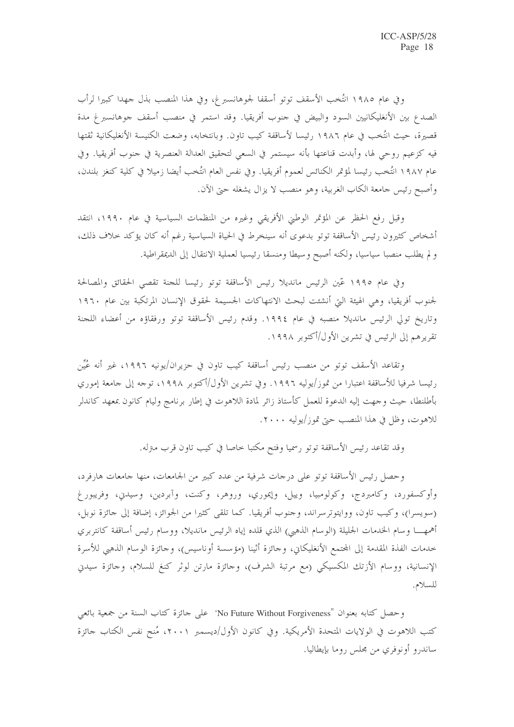وفي عام ١٩٨٥ انتُخب الأسقف توتو أسقفا لجوهانسبرغ، وفي هذا المنصب بذل جهدا كبيرا لرأب الصدع بين الأنغليكانيين السود والبيض في حنوب أفريقيا. وقد استمر في منصب أسقف جوهانسبرغ مدة قصيرة، حيث انتُخب في عام ١٩٨٦ رئيسا لأساقفة كيب تاوِن. وبانتخابه، وضعت الكنيسة الأنغليكانية ثقتها فيه كزعيم روحي لها، وأبدت قناعتها بأنه سيستمر في السعي لتحقيق العدالة العنصرية في حنوب أفريقيا. وفي عام ١٩٨٧ انتُخب رئيسا لمؤتمر الكنائس لعموم أفريقيا. وفي نفس العام انتُخب أيضا زميلا في كلية كنغز بلندن، وأصبح رئيس حامعة الكاب الغربية، وهو منصب لا يزال يشغله حتى الآن.

وقبل رفع الحظر عن المؤتمر الوطني الأفريقي وغيره من المنظمات السياسية في عام ١٩٩٠، انتقد أشخاص كثيرون رئيس الأساقفة توتو بدعوى أنه سينخرط في الحياة السياسية رغم أنه كان يؤكد حلاف ذلك، و لم يطلب منصبا سياسيا، ولكنه أصبح وسيطا ومنسقا رئيسيا لعملية الانتقال إلى الديمقراطية.

وفي عام ١٩٩٥ عّين الرئيس مانديلا رئيس الأساقفة توتو رئيسا للجنة تقصى الحقائق والمصالحة لجنوب أفريقيا، وهي الهيئة التيّ أنشئت لبحث الانتهاكات الجسيمة لحقوق الإنسان المرتكبة بين عام ١٩٦٠ وتاريخ تولى الرئيس مانديلا منصبه في عام ١٩٩٤. وقدم رئيس الأساقفة توتو ورفقاؤه من أعضاء اللجنة تقريرهم إلى الرئيس في تشرين الأول/أكتوبر ١٩٩٨.

وتقاعد الأسقف توتو من منصب رئيس أساقفة كيب تاون في حزيران/يونيه ١٩٩٦، غير أنه عُيِّن رئيسا شرفيا للأساقفة اعتبارا من تموز/يوليه ١٩٩٦. وفي تشرين الأول/أكتوبر ١٩٩٨، توجه إلى جامعة إموري بأطلنطا، حيث وجهت إليه الدعوة للعمل كأستاذ زائر لمادة اللاهوت في إطار برنامج وليام كانون بمعهد كاندلر للاهوت، وظل في هذا المنصب حتى تموز/يوليه ٢٠٠٠.

وقد تقاعد رئيس الأساقفة توتو رسميا وفتح مكتبا خاصا في كيب تاون قرب مترله.

وحصل رئيس الأساقفة توتو على درجات شرفية من عدد كبير من الجامعات، منها جامعات هارفرد، وأوكسفورد، وكامبردج، وكولومبيا، وييل، وإيموري، وروهر، وكنت، وآبردين، وسيدني، وفريبورغ (سويسرا)، وكيب تاون، ووايتوترسراند، وحنوب أفريقيا. كما تلقى كثيرا من الجوائز، إضافة إلى حائزة نوبل، أهمهــــا وسام الخدمات الجليلة (الوسام الذهبي) الذي قلده إياه الرئيس مانديلا، ووسام رئيس أساقفة كانتربري حدمات الفذة المقدمة إلى المحتمع الأنغليكاني، وحائزة أثينا (مؤسسة أوناسيس)، وحائزة الوسام الذهبي للأسرة الإنسانية، ووسام الأزتك المكسيكي (مع مرتبة الشرف)، وحائزة مارتن لوثر كنغ للسلام، وحائزة سيدني للسلام.

وحصل كتابه بعنوان "No Future Without Forgiveness" على حائزة كتاب السنة من جمعية بائعي كتب اللاهوت في الولايات المتحدة الأمريكية. وفي كانون الأول/ديسمبر ٢٠٠١، مُنح نفس الكتاب جائزة ساندرو أونوفري من مجلس روما بإيطاليا.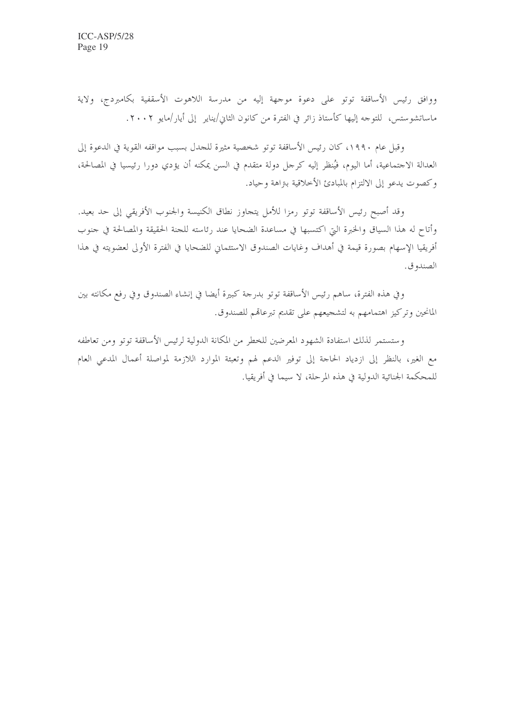ووافق رئيس الأساقفة توتو على دعوة موجهة إليه من مدرسة اللاهوت الأسقفية بكامبردج، ولاية ماساتشوستس، للتوجه إليها كأستاذ زائر في الفترة من كانون الثاني/يناير ۖ إلى أيار/مايو ٢٠٠٢.

وقبل عام ١٩٩٠، كان رئيس الأساقفة توتو شخصية مثيرة للجدل بسبب مواقفه القوية في الدعوة إلى العدالة الاجتماعية، أما اليوم، فيُنظر إليه كرجل دولة متقدم في السن يمكنه أن يؤدي دورا رئيسيا في المصالحة، وكصوت يدعو إلى الالتزام بالمبادئ الأحلاقية بنزاهة وحياد.

وقد أصبح رئيس الأساقفة توتو رمزا للأمل يتحاوز نطاق الكنيسة والجنوب الأفريقي إلى حد بعيد. وأتاح له هذا السياق والخبرة التي اكتسبها في مساعدة الضحايا عند رئاسته للحنة الحقيقة والمصالحة في حنوب أفريقيا الإسهام بصورة قيمة في أهداف وغايات الصندوق الاستئماني للضحايا في الفترة الأولى لعضويته في هذا الصندو ق.

وفي هذه الفترة، ساهم رئيس الأساقفة توتو بدرجة كبيرة أيضا في إنشاء الصندوق وفي رفع مكانته بين المانحين وتركيز اهتمامهم به لتشجيعهم على تقديم تبرعاقم للصندوق.

وستستمر لذلك استفادة الشهود المعرضين للخطر من المكانة الدولية لرئيس الأساقفة توتو ومن تعاطفه مع الغير، بالنظر إلى ازدياد الحاجة إلى توفير الدعم لهم وتعبئة الموارد اللازمة لمواصلة أعمال المدعى العام للمحكمة الجنائية الدولية في هذه المرحلة، لا سيما في أفريقيا.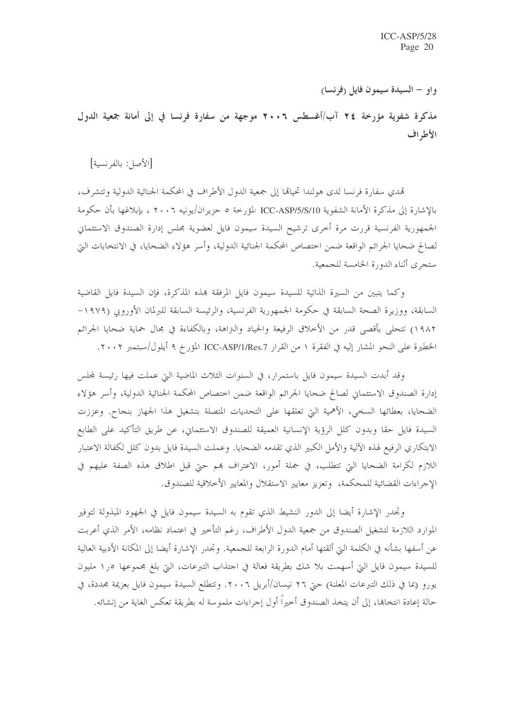واو – السيدة سيمون فايل (فرنسا)

مذكرة شفوية مؤرخة ٢٤ آب/أغسطس ٢٠٠٦ موجهة من سفارة فرنسا في إلى أمانة جمعية الدول الأطراف

[الأصل: بالفرنسية]

تمدي سفارة فرنسا لدى هولندا تحيالها إلى جمعية الدول الأطراف في المحكمة الجنائية الدولية وتتشرف، بالإشارة إلى مذكرة الأمانة الشفوية ICC-ASP/5/S/10 المؤرخة ٥ حزيران/يونيه ٢٠٠٦ ، بإبلاغها بأن حكومة الجمهورية الفرنسية قررت مرة أخرى ترشيح السيدة سيمون فايل لعضوية مجلس إدارة الصندوق الاستئماني لصالح ضحايا الجرائم الواقعة ضمن اختصاص المحكمة الجنائية الدولية، وأسر هؤلاء الضحايا، في الانتخابات التي ستجرى أثناء الدورة الخامسة للجمعية.

وكما يتبين من السيرة الذاتية للسيدة سيمون فايل المرفقة بمذه المذكرة، فإن السيدة فايل القاضية السابقة، ووزيرة الصحة السابقة في حكومة الجمهورية الفرنسية، والرئيسة السابقة للبرلمان الأوروبي (١٩٧٩– ١٩٨٢) تتحلَّى بأقصى قدر من الأخلاق الرفيعة والحياد والتزاهة، وبالكفاءة في مجال حماية ضحايا الجرائم الخطيرة على النحو المشار إليه في الفقرة ١ من القرار ICC-ASP/1/Res.7 المؤرخ ٩ أيلول/سبتمبر ٢٠٠٢.

وقد أبدت السيدة سيمون فايل باستمرار، في السنوات الثلاث الماضية التي عملت فيها رئيسة لمحلس إدارة الصندوق الاستئماني لصالح ضحايا الجرائم الواقعة ضمن اختصاص المحكمة الجنائية الدولية، وأسر هؤلاء الضحايا، بعطائها السخي، الأهمية التي تعلقها على التحديات المتصلة بتشغيل هذا الجهاز بنجاح. وعززت السيدة فايل حقا وبدون كلل الرؤية الإنسانية العميقة للصندوق الاستئماني، عن طريق التأكيد على الطابع الابتكاري الرفيع لهذه الآلية والأمل الكبير الذي تقدمه الضحايا. وعملت السيدة فايل بدون كلل لكفالة الاعتبار اللازم لكرامة الضحايا التي تتطلب، في جملة أمور، الاعتراف هم حتى قبل اطلاق هذه الصفة عليهم في الإجراءات القضائية للمحكمة، وتعزيز معايير الاستقلال والمعايير الأخلاقية للصندوق.

وتحدر الإشارة أيضا إلى الدور النشيط الذي تقوم به السيدة سيمون فايل في الجهود المبذولة لتوفير الموارد اللازمة لتشغيل الصندوق من جمعية الدول الأطراف، رغم التأخير في اعتماد نظامه، الأمر الذي أعربت عن أسفها بشأنه في الكلمة التي ألقتها أمام الدورة الرابعة للجمعية. وتحدر الإشارة أيضا إلى المكانة الأدبية العالية للسيدة سيمون فايل التي أسهمت بلا شك بطريقة فعالة في احتذاب التبرعات، التي بلغ مجموعها ٥ر١ مليون يورو (بما في ذلك التبرعات المعلنة) حتى ٢٦ نيسان/أبريل ٢٠٠٦. وتتطلع السيدة سيمون فايل بعزيمة مجددة، في حالة إعادة انتخابها، إلى أن يتخذ الصندوق أخيراً أو ل إجراءات ملموسة له بطريقة تعكس الغاية من إنشائه.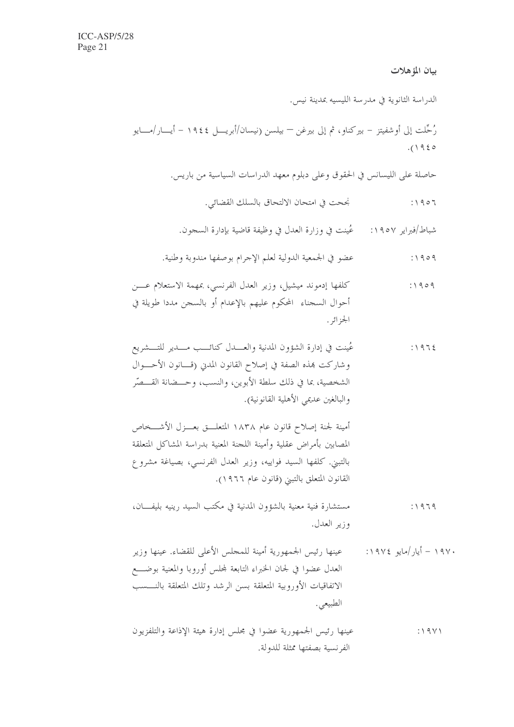## بيان المؤهلات

الدراسة الثانوية في مدرسة الليسيه بمدينة نيس.

حاصلة على الليسانس في الحقوق وعلى دبلوم معهد الدراسات السياسية من باريس.

نجحت في امتحان الالتحاق بالسلك القضائي.  $:1907$ 

شباط/فبراير ١٩٥٧: ﴿ عُينت في وزارة العدل في وظيفة قاضية بإدارة السجون.

أمينة لجنة إصلاح قانون عام ١٨٣٨ المتعلـــق بعـــزل الأشـــخاص المصابين بأمراض عقلية وأمينة اللجنة المعنية بدراسة المشاكل المتعلقة بالتبني. كلفها السيد فواييه، وزير العدل الفرنسي، بصياغة مشروع القانون المتعلق بالتبني (قانون عام ١٩٦٦).

- مستشارة فنية معنية بالشؤون المدنية في مكتب السيد , ينيه بليفـــان،  $:1979$ وزير العدل.
- ۱۹۷۰ أيار /مايو ۱۹۷٤: عينها رئيس الجمهورية أمينة للمجلس الأعلى للقضاء. عينها وزير العدل عضوا في لجان الخبراء التابعة لمجلس أوروبا والمعنية بوضـــع الاتفاقيات الأوروبية المتعلقة بسن الرشد وتلك المتعلقة بالنسسب الطبيعي.
- عينها رئيس الجمهورية عضوا في مجلس إدارة هيئة الإذاعة والتلفزيون  $:19Y1$ الفرنسية بصفتها ممثلة للدولة.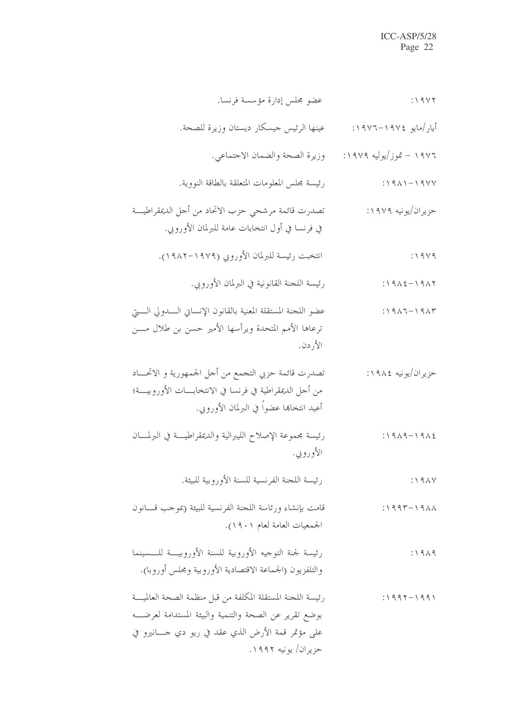| $: \Delta$ 9 $\Delta$              | عضو مجلس إدارة مؤسسة فرنسا.                                                                                                                                                                            |
|------------------------------------|--------------------------------------------------------------------------------------------------------------------------------------------------------------------------------------------------------|
| أيار/مايو ١٩٧٤–١٩٧٦:               | عينها الرئيس حيسكار ديستان وزيرة للصحة.                                                                                                                                                                |
| ۱۹۷۶ – تموز/يوليه ۱۹۷۹:            | وزيرة الصحة والضمان الاجتماعي.                                                                                                                                                                         |
| $: 1911 - 1911$                    | رئيسة محلس المعلومات المتعلقة بالطاقة النووية.                                                                                                                                                         |
| حزيران/يونيه ١٩٧٩:                 | تصدرت قائمة مرشحي حزب الاتحاد من أحل الديمقراطيـــة<br>في فرنسا في أول انتخابات عامة للبرلمان الأوروبي.                                                                                                |
| $: \wedge \wedge \vee \wedge$      | انتخبت رئيسة للبرلمان الأوروبي (١٩٧٩–١٩٨٢).                                                                                                                                                            |
| $:19\lambda \xi - 19\lambda \zeta$ | رئيسة اللحنة القانونية في البرلمان الأوروبي.                                                                                                                                                           |
| $: 1917 - 1917$                    | عضو اللجنة المستقلة المعنية بالقانون الإنساني السدولي الستى<br>ترعاها الأمم المتحدة ويرأسها الأمير حسن بن طلال مـــن<br>الأردن.                                                                        |
| حزيران/يونيه ١٩٨٤:                 | تصدرت قائمة حزبي التجمع من أحل الجمهورية و الاتحـــاد<br>من أحل الديمقراطية في فرنسا في الانتخابـــات الأوروبيــــة؛<br>أعيد انتخاهما عضواً في البرلمان الأوروبي.                                      |
| $: 1919 - 1912$                    | رئيسة مجموعة الإصلاح الليبرالية والديمقراطيـــة في البرلمــــان<br>الأوروبي.                                                                                                                           |
| $\therefore$ 9 $\land$ Y           | رئيسة اللجنة الفرنسية للسنة الأوروبية للبيئة.                                                                                                                                                          |
| $\therefore$ $997 - 1911$          | قامت بإنشاء ورئاسة اللحنة الفرنسية للبيئة (بموحب قـــانون<br>الجمعيات العامة لعام ١٩٠١).                                                                                                               |
| : 1919                             | رئيسة لجنة التوحيه الأوروبية للسنة الأوروبيــة للـــسينما<br>والتلفزيون (الجماعة الاقتصادية الأوروبية ومجلس أوروبا).                                                                                   |
| $: 1997 - 1991$                    | رئيسة اللحنة المستقلة المكلفة من قبل منظمة الصحة العالميـــة<br>بوضع تقرير عن الصحة والتنمية والبيئة المستدامة لعرضـــه<br>على مؤتمر قمة الأرض الذي عقد في ريو دي حــــانيرو في<br>حزيران/ يونيه ١٩٩٢. |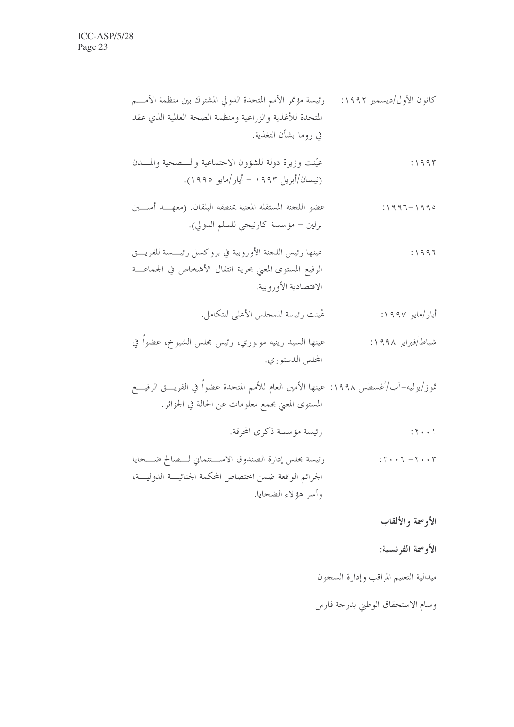# ميدالية التعليم المراقب وإدارة السجون

# وسام الاستحقاق الوطني بدرجة فارس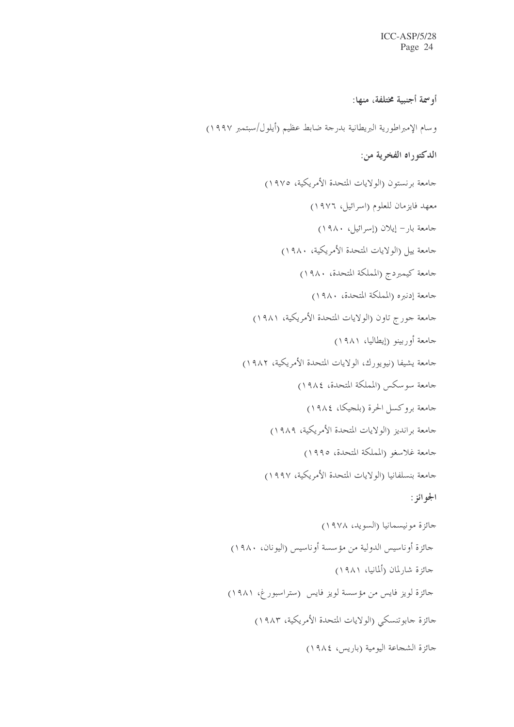أو سمة أجنبية مختلفة، منها:

وسام الإمبراطورية البريطانية بدرجة ضابط عظيم (أيلول/سبتمبر ١٩٩٧)

الدكتوراه الفخرية من:

جامعة برنستون (الولايات المتحدة الأمريكية، ١٩٧٥) معهد فايزمان للعلوم (اسرائيل، ١٩٧٦) حامعة بار – إيلان (إسرائيل، ١٩٨٠) جامعة ييل (الولايات المتحدة الأمريكية، ١٩٨٠) جامعة كيمبردج (المملكة المتحدة، ١٩٨٠) جامعة إدنبره (المملكة المتحدة، ١٩٨٠) جامعة جورج تاون (الولايات المتحدة الأمريكية، ١٩٨١) جامعة أوربينو (إيطاليا، ١٩٨١) جامعة يشيفا (نيويورك، الولايات المتحدة الأمريكية، ١٩٨٢) جامعة سوسكس (المملكة المتحدة، ١٩٨٤) جامعة بروكسل الحرة (بلجيكا، ١٩٨٤) جامعة برانديز (الولايات المتحدة الأمريكية، ١٩٨٩) جامعة غلاسغو (المملكة المتحدة، ١٩٩٥) جامعة بنسلفانيا (الولايات المتحدة الأمريكية، ١٩٩٧) الجوائز : جائزة مونيسمانيا (السويد، ١٩٧٨) جائزة أوناسيس الدولية من مؤسسة أوناسيس (اليونان، ١٩٨٠) حائزة شارلمان (ألمانيا، ١٩٨١) جائزة لويز فايس من مؤسسة لويز فايس (ستراسبورغ، ١٩٨١) جائزة جابوتنسكي (الولايات المتحدة الأمريكية، ١٩٨٣) حائزة الشجاعة اليومية (باريس، ١٩٨٤)